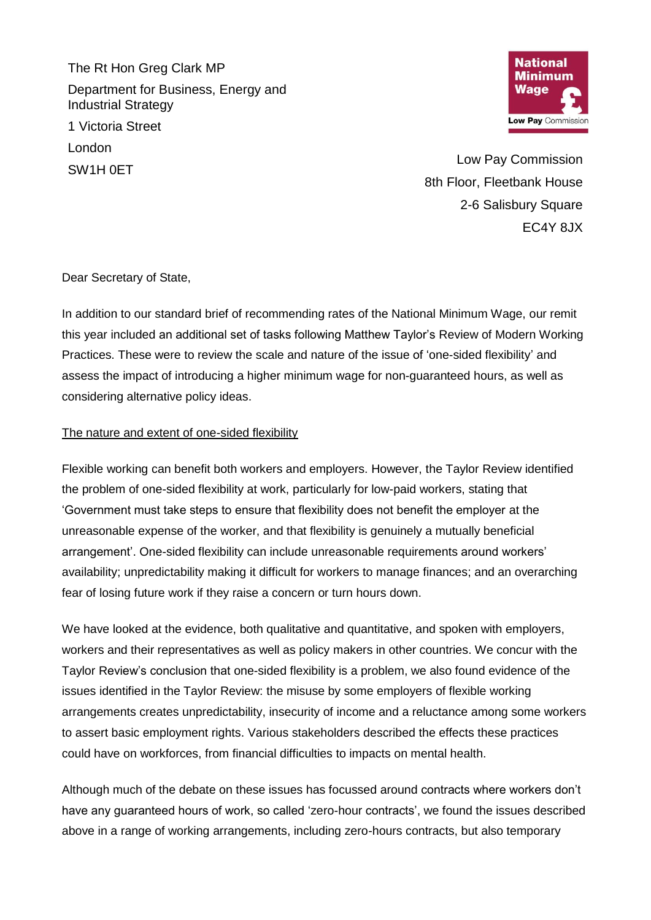The Rt Hon Greg Clark MP Department for Business, Energy and Industrial Strategy 1 Victoria Street London SW1H 0ET



Low Pay Commission 8th Floor, Fleetbank House 2-6 Salisbury Square EC4Y 8JX

Dear Secretary of State,

In addition to our standard brief of recommending rates of the National Minimum Wage, our remit this year included an additional set of tasks following Matthew Taylor's Review of Modern Working Practices. These were to review the scale and nature of the issue of 'one-sided flexibility' and assess the impact of introducing a higher minimum wage for non-guaranteed hours, as well as considering alternative policy ideas.

## The nature and extent of one-sided flexibility

Flexible working can benefit both workers and employers. However, the Taylor Review identified the problem of one-sided flexibility at work, particularly for low-paid workers, stating that 'Government must take steps to ensure that flexibility does not benefit the employer at the unreasonable expense of the worker, and that flexibility is genuinely a mutually beneficial arrangement'. One-sided flexibility can include unreasonable requirements around workers' availability; unpredictability making it difficult for workers to manage finances; and an overarching fear of losing future work if they raise a concern or turn hours down.

We have looked at the evidence, both qualitative and quantitative, and spoken with employers, workers and their representatives as well as policy makers in other countries. We concur with the Taylor Review's conclusion that one-sided flexibility is a problem, we also found evidence of the issues identified in the Taylor Review: the misuse by some employers of flexible working arrangements creates unpredictability, insecurity of income and a reluctance among some workers to assert basic employment rights. Various stakeholders described the effects these practices could have on workforces, from financial difficulties to impacts on mental health.

Although much of the debate on these issues has focussed around contracts where workers don't have any guaranteed hours of work, so called 'zero-hour contracts', we found the issues described above in a range of working arrangements, including zero-hours contracts, but also temporary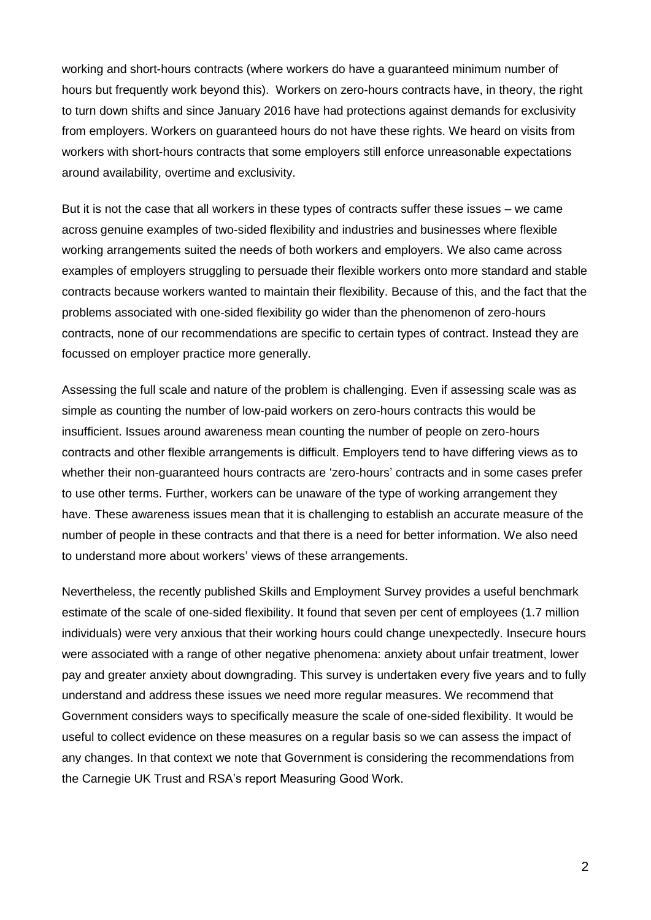working and short-hours contracts (where workers do have a guaranteed minimum number of hours but frequently work beyond this). Workers on zero-hours contracts have, in theory, the right to turn down shifts and since January 2016 have had protections against demands for exclusivity from employers. Workers on guaranteed hours do not have these rights. We heard on visits from workers with short-hours contracts that some employers still enforce unreasonable expectations around availability, overtime and exclusivity.

But it is not the case that all workers in these types of contracts suffer these issues – we came across genuine examples of two-sided flexibility and industries and businesses where flexible working arrangements suited the needs of both workers and employers. We also came across examples of employers struggling to persuade their flexible workers onto more standard and stable contracts because workers wanted to maintain their flexibility. Because of this, and the fact that the problems associated with one-sided flexibility go wider than the phenomenon of zero-hours contracts, none of our recommendations are specific to certain types of contract. Instead they are focussed on employer practice more generally.

Assessing the full scale and nature of the problem is challenging. Even if assessing scale was as simple as counting the number of low-paid workers on zero-hours contracts this would be insufficient. Issues around awareness mean counting the number of people on zero-hours contracts and other flexible arrangements is difficult. Employers tend to have differing views as to whether their non-guaranteed hours contracts are 'zero-hours' contracts and in some cases prefer to use other terms. Further, workers can be unaware of the type of working arrangement they have. These awareness issues mean that it is challenging to establish an accurate measure of the number of people in these contracts and that there is a need for better information. We also need to understand more about workers' views of these arrangements.

Nevertheless, the recently published Skills and Employment Survey provides a useful benchmark estimate of the scale of one-sided flexibility. It found that seven per cent of employees (1.7 million individuals) were very anxious that their working hours could change unexpectedly. Insecure hours were associated with a range of other negative phenomena: anxiety about unfair treatment, lower pay and greater anxiety about downgrading. This survey is undertaken every five years and to fully understand and address these issues we need more regular measures. We recommend that Government considers ways to specifically measure the scale of one-sided flexibility. It would be useful to collect evidence on these measures on a regular basis so we can assess the impact of any changes. In that context we note that Government is considering the recommendations from the Carnegie UK Trust and RSA's report Measuring Good Work.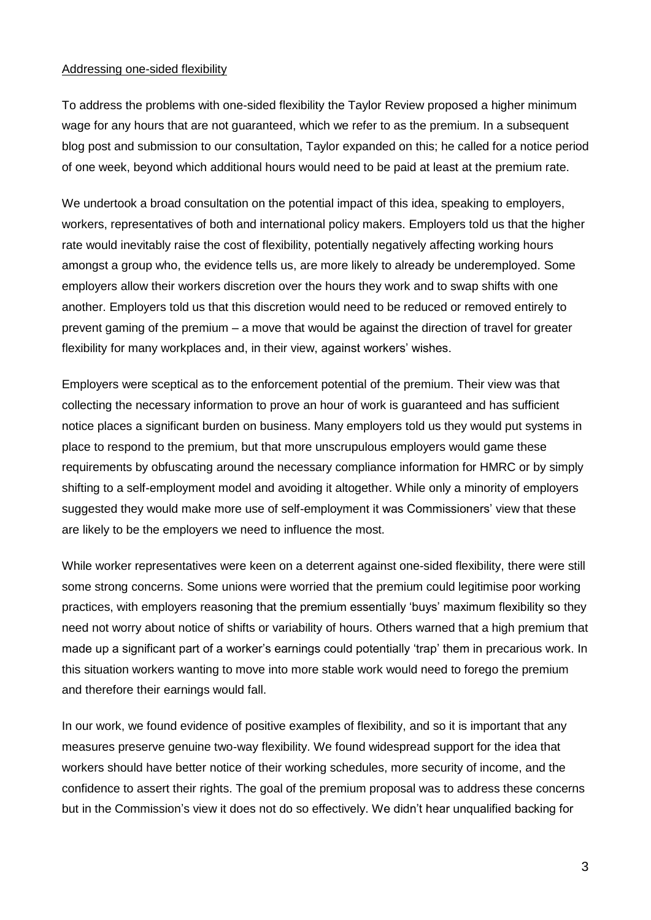## Addressing one-sided flexibility

To address the problems with one-sided flexibility the Taylor Review proposed a higher minimum wage for any hours that are not guaranteed, which we refer to as the premium. In a subsequent blog post and submission to our consultation, Taylor expanded on this; he called for a notice period of one week, beyond which additional hours would need to be paid at least at the premium rate.

We undertook a broad consultation on the potential impact of this idea, speaking to employers, workers, representatives of both and international policy makers. Employers told us that the higher rate would inevitably raise the cost of flexibility, potentially negatively affecting working hours amongst a group who, the evidence tells us, are more likely to already be underemployed. Some employers allow their workers discretion over the hours they work and to swap shifts with one another. Employers told us that this discretion would need to be reduced or removed entirely to prevent gaming of the premium – a move that would be against the direction of travel for greater flexibility for many workplaces and, in their view, against workers' wishes.

Employers were sceptical as to the enforcement potential of the premium. Their view was that collecting the necessary information to prove an hour of work is guaranteed and has sufficient notice places a significant burden on business. Many employers told us they would put systems in place to respond to the premium, but that more unscrupulous employers would game these requirements by obfuscating around the necessary compliance information for HMRC or by simply shifting to a self-employment model and avoiding it altogether. While only a minority of employers suggested they would make more use of self-employment it was Commissioners' view that these are likely to be the employers we need to influence the most.

While worker representatives were keen on a deterrent against one-sided flexibility, there were still some strong concerns. Some unions were worried that the premium could legitimise poor working practices, with employers reasoning that the premium essentially 'buys' maximum flexibility so they need not worry about notice of shifts or variability of hours. Others warned that a high premium that made up a significant part of a worker's earnings could potentially 'trap' them in precarious work. In this situation workers wanting to move into more stable work would need to forego the premium and therefore their earnings would fall.

In our work, we found evidence of positive examples of flexibility, and so it is important that any measures preserve genuine two-way flexibility. We found widespread support for the idea that workers should have better notice of their working schedules, more security of income, and the confidence to assert their rights. The goal of the premium proposal was to address these concerns but in the Commission's view it does not do so effectively. We didn't hear unqualified backing for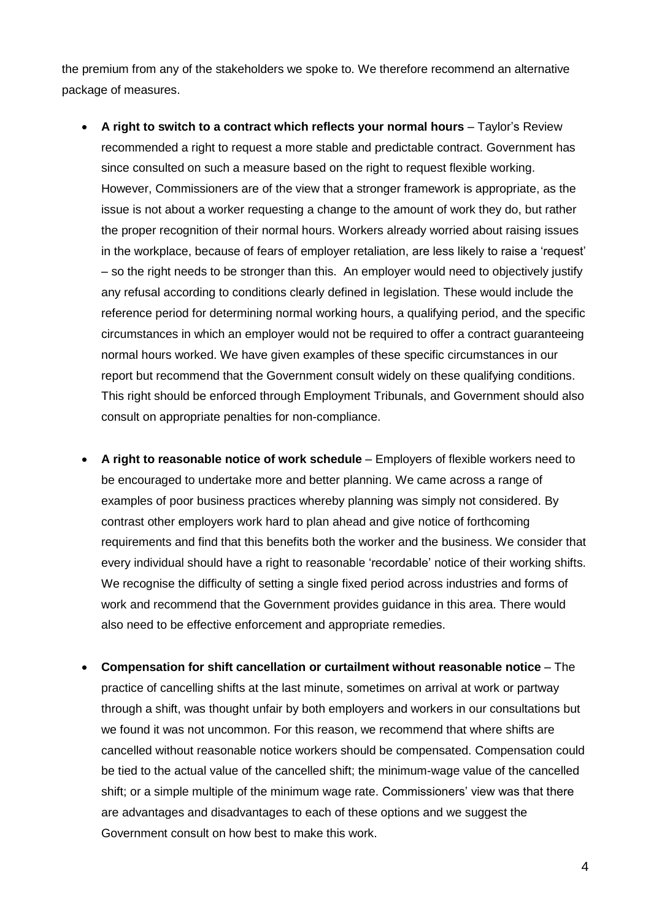the premium from any of the stakeholders we spoke to. We therefore recommend an alternative package of measures.

- **A right to switch to a contract which reflects your normal hours** Taylor's Review recommended a right to request a more stable and predictable contract. Government has since consulted on such a measure based on the right to request flexible working. However, Commissioners are of the view that a stronger framework is appropriate, as the issue is not about a worker requesting a change to the amount of work they do, but rather the proper recognition of their normal hours. Workers already worried about raising issues in the workplace, because of fears of employer retaliation, are less likely to raise a 'request' – so the right needs to be stronger than this. An employer would need to objectively justify any refusal according to conditions clearly defined in legislation. These would include the reference period for determining normal working hours, a qualifying period, and the specific circumstances in which an employer would not be required to offer a contract guaranteeing normal hours worked. We have given examples of these specific circumstances in our report but recommend that the Government consult widely on these qualifying conditions. This right should be enforced through Employment Tribunals, and Government should also consult on appropriate penalties for non-compliance.
- **A right to reasonable notice of work schedule** Employers of flexible workers need to be encouraged to undertake more and better planning. We came across a range of examples of poor business practices whereby planning was simply not considered. By contrast other employers work hard to plan ahead and give notice of forthcoming requirements and find that this benefits both the worker and the business. We consider that every individual should have a right to reasonable 'recordable' notice of their working shifts. We recognise the difficulty of setting a single fixed period across industries and forms of work and recommend that the Government provides guidance in this area. There would also need to be effective enforcement and appropriate remedies.
- **Compensation for shift cancellation or curtailment without reasonable notice** The practice of cancelling shifts at the last minute, sometimes on arrival at work or partway through a shift, was thought unfair by both employers and workers in our consultations but we found it was not uncommon. For this reason, we recommend that where shifts are cancelled without reasonable notice workers should be compensated. Compensation could be tied to the actual value of the cancelled shift; the minimum-wage value of the cancelled shift; or a simple multiple of the minimum wage rate. Commissioners' view was that there are advantages and disadvantages to each of these options and we suggest the Government consult on how best to make this work.